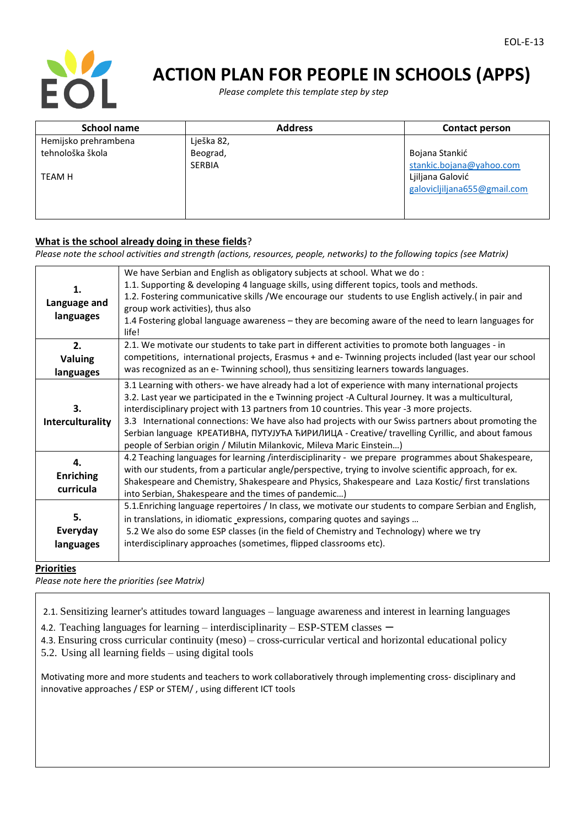

# **ACTION PLAN FOR PEOPLE IN SCHOOLS (APPS)**

 *Please complete this template step by step*

| <b>School name</b>   | <b>Address</b> | <b>Contact person</b>        |
|----------------------|----------------|------------------------------|
| Hemijsko prehrambena | Lješka 82,     |                              |
| tehnološka škola     | Beograd,       | Bojana Stankić               |
|                      | <b>SERBIA</b>  | stankic.bojana@yahoo.com     |
| <b>TEAM H</b>        |                | Ljiljana Galović             |
|                      |                | galovicljiljana655@gmail.com |
|                      |                |                              |
|                      |                |                              |

### **What is the school already doing in these fields**?

*Please note the school activities and strength (actions, resources, people, networks) to the following topics (see Matrix)*

| 1.<br>Language and<br>languages     | We have Serbian and English as obligatory subjects at school. What we do:<br>1.1. Supporting & developing 4 language skills, using different topics, tools and methods.<br>1.2. Fostering communicative skills /We encourage our students to use English actively. (in pair and<br>group work activities), thus also<br>1.4 Fostering global language awareness - they are becoming aware of the need to learn languages for<br>life!                                                                                                                                                        |
|-------------------------------------|----------------------------------------------------------------------------------------------------------------------------------------------------------------------------------------------------------------------------------------------------------------------------------------------------------------------------------------------------------------------------------------------------------------------------------------------------------------------------------------------------------------------------------------------------------------------------------------------|
| 2.<br>Valuing<br>languages          | 2.1. We motivate our students to take part in different activities to promote both languages - in<br>competitions, international projects, Erasmus + and e- Twinning projects included (last year our school<br>was recognized as an e- Twinning school), thus sensitizing learners towards languages.                                                                                                                                                                                                                                                                                       |
| 3.<br>Interculturality              | 3.1 Learning with others- we have already had a lot of experience with many international projects<br>3.2. Last year we participated in the e Twinning project -A Cultural Journey. It was a multicultural,<br>interdisciplinary project with 13 partners from 10 countries. This year -3 more projects.<br>3.3 International connections: We have also had projects with our Swiss partners about promoting the<br>Serbian language KPEATИВНА, ПУТУЈУЋА ЋИРИЛИЦА - Creative/ travelling Cyrillic, and about famous<br>people of Serbian origin / Milutin Milankovic, Mileva Maric Einstein) |
| 4.<br><b>Enriching</b><br>curricula | 4.2 Teaching languages for learning /interdisciplinarity - we prepare programmes about Shakespeare,<br>with our students, from a particular angle/perspective, trying to involve scientific approach, for ex.<br>Shakespeare and Chemistry, Shakespeare and Physics, Shakespeare and Laza Kostic/ first translations<br>into Serbian, Shakespeare and the times of pandemic)                                                                                                                                                                                                                 |
| 5.<br>Everyday<br>languages         | 5.1. Enriching language repertoires / In class, we motivate our students to compare Serbian and English,<br>in translations, in idiomatic_expressions, comparing quotes and sayings<br>5.2 We also do some ESP classes (in the field of Chemistry and Technology) where we try<br>interdisciplinary approaches (sometimes, flipped classrooms etc).                                                                                                                                                                                                                                          |

## **Priorities**

*Please note here the priorities (see Matrix)*

2.1. Sensitizing learner's attitudes toward languages – language awareness and interest in learning languages

4.2. Teaching languages for learning – interdisciplinarity – ESP-STEM classes –

4.3. Ensuring cross curricular continuity (meso) – cross-curricular vertical and horizontal educational policy

5.2. Using all learning fields – using digital tools

Motivating more and more students and teachers to work collaboratively through implementing cross- disciplinary and innovative approaches / ESP or STEM/ , using different ICT tools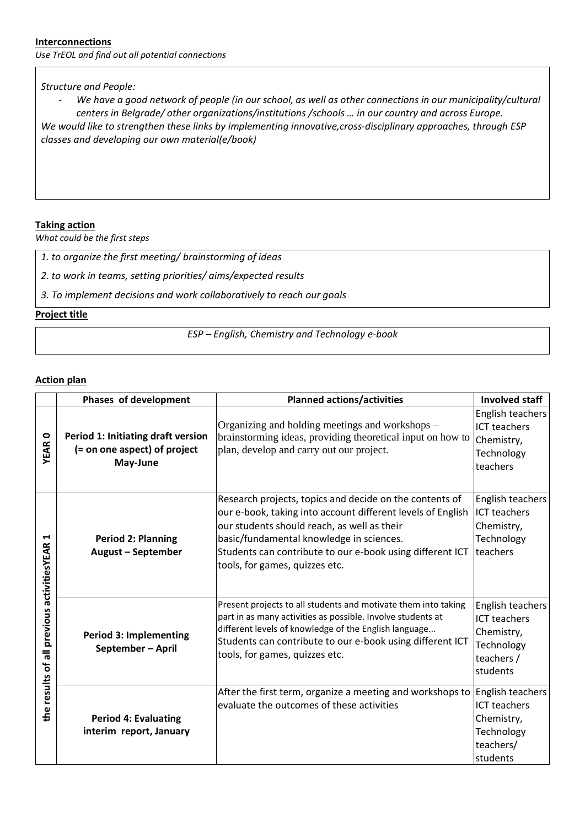#### **Interconnections**

*Use TrEOL and find out all potential connections*

#### *Structure and People:*

- *We have a good network of people (in our school, as well as other connections in our municipality/cultural centers in Belgrade/ other organizations/institutions /schools … in our country and across Europe. We would like to strengthen these links by implementing innovative,cross-disciplinary approaches, through ESP classes and developing our own material(e/book)*

# **Taking action**

*What could be the first steps*

|  |  |  |  |  |  |  | 1. to organize the first meeting/ brainstorming of ideas |
|--|--|--|--|--|--|--|----------------------------------------------------------|
|--|--|--|--|--|--|--|----------------------------------------------------------|

*2. to work in teams, setting priorities/ aims/expected results*

*3. To implement decisions and work collaboratively to reach our goals*

#### **Project title**

*ESP – English, Chemistry and Technology e-book*

#### **Action plan**

|                                                 | Phases of development                                                          | <b>Planned actions/activities</b>                                                                                                                                                                                                                                                                                | <b>Involved staff</b>                                                                         |
|-------------------------------------------------|--------------------------------------------------------------------------------|------------------------------------------------------------------------------------------------------------------------------------------------------------------------------------------------------------------------------------------------------------------------------------------------------------------|-----------------------------------------------------------------------------------------------|
| <b>YEAR0</b>                                    | Period 1: Initiating draft version<br>(= on one aspect) of project<br>May-June | Organizing and holding meetings and workshops –<br>brainstorming ideas, providing theoretical input on how to<br>plan, develop and carry out our project.                                                                                                                                                        | English teachers<br><b>ICT teachers</b><br>Chemistry,<br>Technology<br>teachers               |
| ⊣<br>the results of all previous activitiesYEAR | <b>Period 2: Planning</b><br>August - September                                | Research projects, topics and decide on the contents of<br>our e-book, taking into account different levels of English<br>our students should reach, as well as their<br>basic/fundamental knowledge in sciences.<br>Students can contribute to our e-book using different ICT<br>tools, for games, quizzes etc. | English teachers<br><b>ICT teachers</b><br>Chemistry,<br>Technology<br>teachers               |
|                                                 | <b>Period 3: Implementing</b><br>September - April                             | Present projects to all students and motivate them into taking<br>part in as many activities as possible. Involve students at<br>different levels of knowledge of the English language<br>Students can contribute to our e-book using different ICT<br>tools, for games, quizzes etc.                            | English teachers<br><b>ICT teachers</b><br>Chemistry,<br>Technology<br>teachers /<br>students |
|                                                 | <b>Period 4: Evaluating</b><br>interim report, January                         | After the first term, organize a meeting and workshops to<br>evaluate the outcomes of these activities                                                                                                                                                                                                           | English teachers<br><b>ICT teachers</b><br>Chemistry,<br>Technology<br>teachers/<br>students  |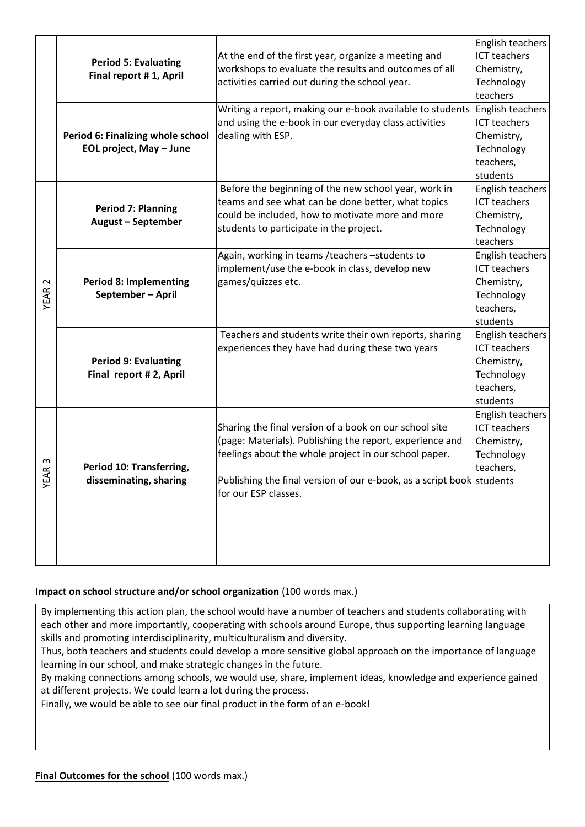|        |                                                                                                              |                                                                                               | English teachers    |
|--------|--------------------------------------------------------------------------------------------------------------|-----------------------------------------------------------------------------------------------|---------------------|
|        |                                                                                                              | At the end of the first year, organize a meeting and                                          | <b>ICT teachers</b> |
|        | <b>Period 5: Evaluating</b>                                                                                  | workshops to evaluate the results and outcomes of all                                         | Chemistry,          |
|        | Final report #1, April                                                                                       | activities carried out during the school year.                                                | Technology          |
|        |                                                                                                              |                                                                                               | teachers            |
|        |                                                                                                              | Writing a report, making our e-book available to students                                     | English teachers    |
|        |                                                                                                              | and using the e-book in our everyday class activities                                         | <b>ICT teachers</b> |
|        | Period 6: Finalizing whole school<br>EOL project, May - June                                                 | dealing with ESP.                                                                             | Chemistry,          |
|        |                                                                                                              |                                                                                               | Technology          |
|        |                                                                                                              |                                                                                               | teachers,           |
|        |                                                                                                              |                                                                                               | students            |
|        |                                                                                                              | Before the beginning of the new school year, work in                                          | English teachers    |
|        | <b>Period 7: Planning</b>                                                                                    | teams and see what can be done better, what topics                                            | <b>ICT teachers</b> |
|        | <b>August - September</b>                                                                                    | could be included, how to motivate more and more                                              | Chemistry,          |
|        |                                                                                                              | students to participate in the project.                                                       | Technology          |
|        |                                                                                                              |                                                                                               | teachers            |
|        |                                                                                                              | Again, working in teams /teachers -students to                                                | English teachers    |
|        | <b>Period 8: Implementing</b><br>September - April<br><b>Period 9: Evaluating</b><br>Final report # 2, April | implement/use the e-book in class, develop new                                                | <b>ICT teachers</b> |
| $\sim$ |                                                                                                              | games/quizzes etc.                                                                            | Chemistry,          |
| YEAR : |                                                                                                              |                                                                                               | Technology          |
|        |                                                                                                              |                                                                                               | teachers,           |
|        |                                                                                                              |                                                                                               | students            |
|        |                                                                                                              | Teachers and students write their own reports, sharing                                        | English teachers    |
|        |                                                                                                              | experiences they have had during these two years                                              | <b>ICT teachers</b> |
|        |                                                                                                              |                                                                                               | Chemistry,          |
|        |                                                                                                              |                                                                                               | Technology          |
|        |                                                                                                              |                                                                                               | teachers,           |
|        |                                                                                                              |                                                                                               | students            |
|        |                                                                                                              |                                                                                               | English teachers    |
|        | Period 10: Transferring,<br>disseminating, sharing                                                           | Sharing the final version of a book on our school site                                        | <b>ICT teachers</b> |
|        |                                                                                                              | (page: Materials). Publishing the report, experience and                                      | Chemistry,          |
| ო      |                                                                                                              | feelings about the whole project in our school paper.                                         | Technology          |
|        |                                                                                                              |                                                                                               | teachers,           |
| YEAR   |                                                                                                              | Publishing the final version of our e-book, as a script book students<br>for our ESP classes. |                     |
|        |                                                                                                              |                                                                                               |                     |
|        |                                                                                                              |                                                                                               |                     |
|        |                                                                                                              |                                                                                               |                     |
|        |                                                                                                              |                                                                                               |                     |
|        |                                                                                                              |                                                                                               |                     |

# **Impact on school structure and/or school organization** (100 words max.)

By implementing this action plan, the school would have a number of teachers and students collaborating with each other and more importantly, cooperating with schools around Europe, thus supporting learning language skills and promoting interdisciplinarity, multiculturalism and diversity.

Thus, both teachers and students could develop a more sensitive global approach on the importance of language learning in our school, and make strategic changes in the future.

By making connections among schools, we would use, share, implement ideas, knowledge and experience gained at different projects. We could learn a lot during the process.

Finally, we would be able to see our final product in the form of an e-book!